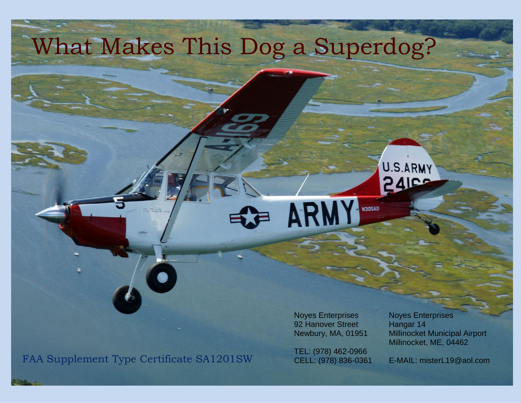## What Makes This Dog a Superdog?

ARMY NOSAD

FAA Supplement Type Certificate SA1201SW CELL: (978) 836-0361 E-MAIL: misterL19@aol.com

Noyes Enterprises Noyes Enterprises 92 Hanover Street Hangar 14

TEL: (978) 462-0966

Newbury, MA, 01951 Millinocket Municipal Airport Millinocket, ME, 04462

U.S.ARMY